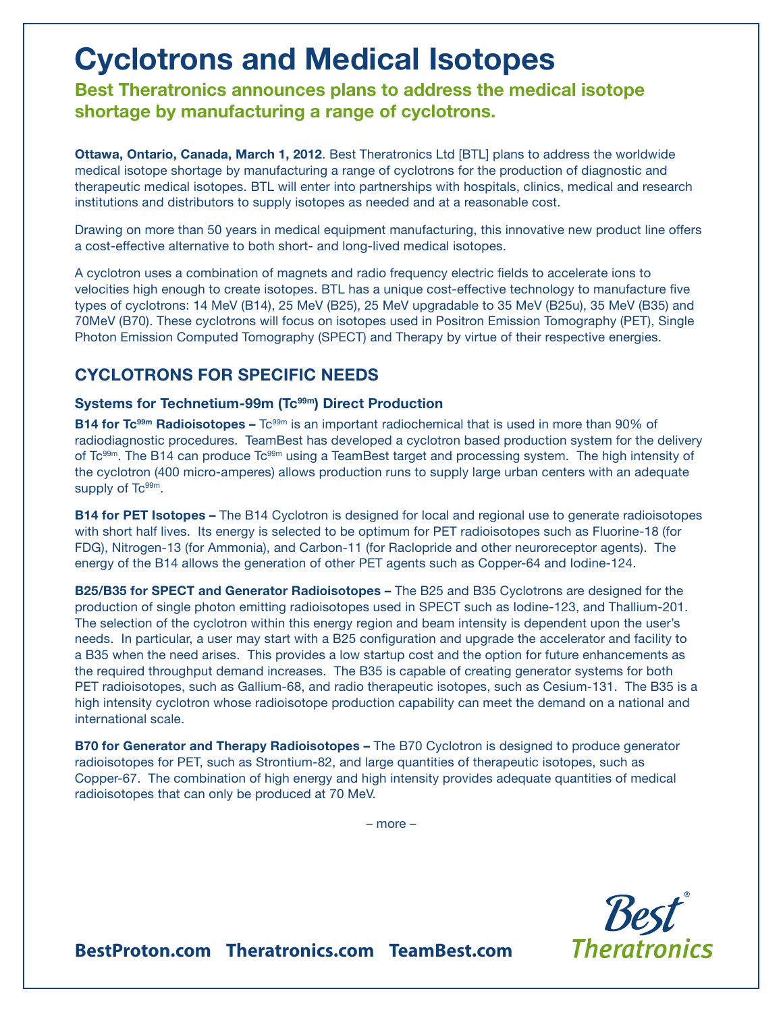# **Cyclotrons and Medical Isotopes**

**Best Theratronics announces plans to address the medical isotope shortage by manufacturing a range of cyclotrons.**

**Ottawa, Ontario, Canada, March 1, 2012**. Best Theratronics Ltd [BTL] plans to address the worldwide medical isotope shortage by manufacturing a range of cyclotrons for the production of diagnostic and therapeutic medical isotopes. BTL will enter into partnerships with hospitals, clinics, medical and research institutions and distributors to supply isotopes as needed and at a reasonable cost.

Drawing on more than 50 years in medical equipment manufacturing, this innovative new product line offers a cost-effective alternative to both short- and long-lived medical isotopes.

A cyclotron uses a combination of magnets and radio frequency electric fields to accelerate ions to velocities high enough to create isotopes. BTL has a unique cost-effective technology to manufacture five types of cyclotrons: 14 MeV (B14), 25 MeV (B25), 25 MeV upgradable to 35 MeV (B25u), 35 MeV (B35) and 70MeV (B70). These cyclotrons will focus on isotopes used in Positron Emission Tomography (PET), Single Photon Emission Computed Tomography (SPECT) and Therapy by virtue of their respective energies.

## **CYCLOTRONS FOR SPECIFIC NEEDS**

### Systems for Technetium-99m (Tc<sup>99m</sup>) Direct Production

**B14 for Tc<sup>99m</sup> Radioisotopes –** Tc<sup>99m</sup> is an important radiochemical that is used in more than 90% of radiodiagnostic procedures. TeamBest has developed a cyclotron based production system for the delivery of Tc<sup>99m</sup>. The B14 can produce Tc<sup>99m</sup> using a TeamBest target and processing system. The high intensity of the cyclotron (400 micro-amperes) allows production runs to supply large urban centers with an adequate supply of Tc<sup>99m</sup>.

**B14 for PET Isotopes –** The B14 Cyclotron is designed for local and regional use to generate radioisotopes with short half lives. Its energy is selected to be optimum for PET radioisotopes such as Fluorine-18 (for FDG), Nitrogen-13 (for Ammonia), and Carbon-11 (for Raclopride and other neuroreceptor agents). The energy of the B14 allows the generation of other PET agents such as Copper-64 and Iodine-124.

**B25/B35 for SPECT and Generator Radioisotopes –** The B25 and B35 Cyclotrons are designed for the production of single photon emitting radioisotopes used in SPECT such as Iodine-123, and Thallium-201. The selection of the cyclotron within this energy region and beam intensity is dependent upon the user's needs. In particular, a user may start with a B25 configuration and upgrade the accelerator and facility to a B35 when the need arises. This provides a low startup cost and the option for future enhancements as the required throughput demand increases. The B35 is capable of creating generator systems for both PET radioisotopes, such as Gallium-68, and radio therapeutic isotopes, such as Cesium-131. The B35 is a high intensity cyclotron whose radioisotope production capability can meet the demand on a national and international scale.

**B70 for Generator and Therapy Radioisotopes –** The B70 Cyclotron is designed to produce generator radioisotopes for PET, such as Strontium-82, and large quantities of therapeutic isotopes, such as Copper-67. The combination of high energy and high intensity provides adequate quantities of medical radioisotopes that can only be produced at 70 MeV.

– more –



**BestProton.com Theratronics.com TeamBest.com**